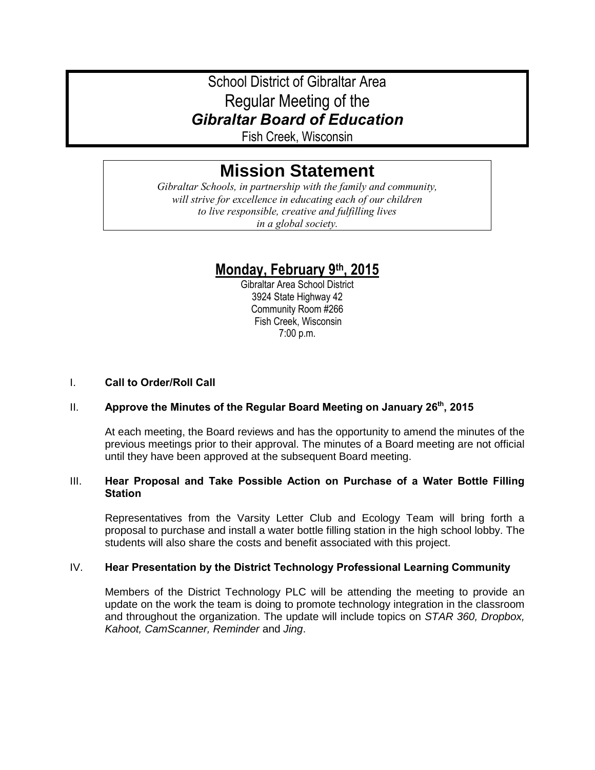# School District of Gibraltar Area Regular Meeting of the *Gibraltar Board of Education*

Fish Creek, Wisconsin

# **Mission Statement**

*Gibraltar Schools, in partnership with the family and community, will strive for excellence in educating each of our children to live responsible, creative and fulfilling lives in a global society.*

# **Monday, February 9th, 2015**

Gibraltar Area School District 3924 State Highway 42 Community Room #266 Fish Creek, Wisconsin 7:00 p.m.

### I. **Call to Order/Roll Call**

# II. **Approve the Minutes of the Regular Board Meeting on January 26th, 2015**

At each meeting, the Board reviews and has the opportunity to amend the minutes of the previous meetings prior to their approval. The minutes of a Board meeting are not official until they have been approved at the subsequent Board meeting.

# III. **Hear Proposal and Take Possible Action on Purchase of a Water Bottle Filling Station**

Representatives from the Varsity Letter Club and Ecology Team will bring forth a proposal to purchase and install a water bottle filling station in the high school lobby. The students will also share the costs and benefit associated with this project.

# IV. **Hear Presentation by the District Technology Professional Learning Community**

Members of the District Technology PLC will be attending the meeting to provide an update on the work the team is doing to promote technology integration in the classroom and throughout the organization. The update will include topics on *STAR 360, Dropbox, Kahoot, CamScanner, Reminder* and *Jing*.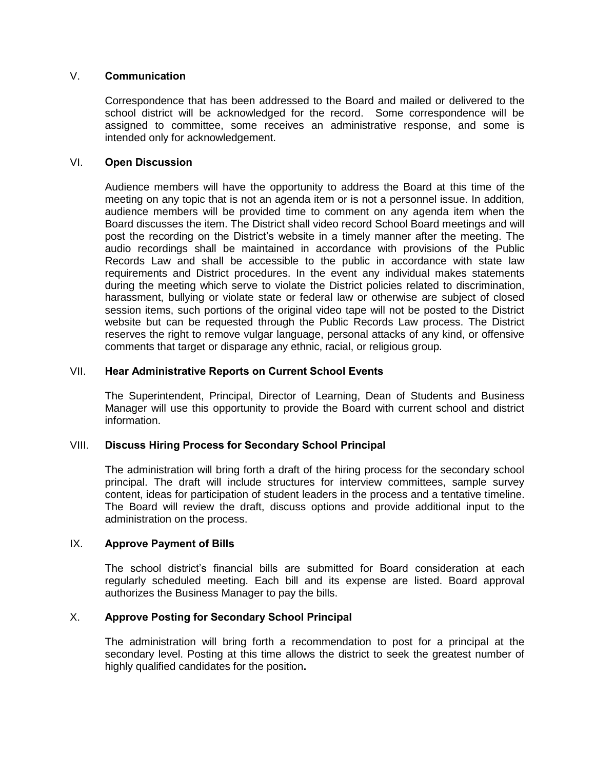#### V. **Communication**

Correspondence that has been addressed to the Board and mailed or delivered to the school district will be acknowledged for the record. Some correspondence will be assigned to committee, some receives an administrative response, and some is intended only for acknowledgement.

#### VI. **Open Discussion**

Audience members will have the opportunity to address the Board at this time of the meeting on any topic that is not an agenda item or is not a personnel issue. In addition, audience members will be provided time to comment on any agenda item when the Board discusses the item. The District shall video record School Board meetings and will post the recording on the District's website in a timely manner after the meeting. The audio recordings shall be maintained in accordance with provisions of the Public Records Law and shall be accessible to the public in accordance with state law requirements and District procedures. In the event any individual makes statements during the meeting which serve to violate the District policies related to discrimination, harassment, bullying or violate state or federal law or otherwise are subject of closed session items, such portions of the original video tape will not be posted to the District website but can be requested through the Public Records Law process. The District reserves the right to remove vulgar language, personal attacks of any kind, or offensive comments that target or disparage any ethnic, racial, or religious group.

#### VII. **Hear Administrative Reports on Current School Events**

The Superintendent, Principal, Director of Learning, Dean of Students and Business Manager will use this opportunity to provide the Board with current school and district information.

# VIII. **Discuss Hiring Process for Secondary School Principal**

The administration will bring forth a draft of the hiring process for the secondary school principal. The draft will include structures for interview committees, sample survey content, ideas for participation of student leaders in the process and a tentative timeline. The Board will review the draft, discuss options and provide additional input to the administration on the process.

#### IX. **Approve Payment of Bills**

The school district's financial bills are submitted for Board consideration at each regularly scheduled meeting. Each bill and its expense are listed. Board approval authorizes the Business Manager to pay the bills.

#### X. **Approve Posting for Secondary School Principal**

The administration will bring forth a recommendation to post for a principal at the secondary level. Posting at this time allows the district to seek the greatest number of highly qualified candidates for the position**.**